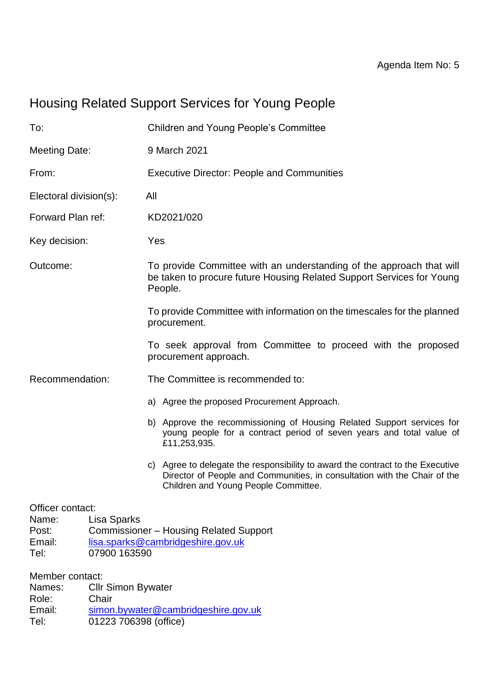# Housing Related Support Services for Young People

| To:                                                                                                                                                                |                                    | <b>Children and Young People's Committee</b>                                                                                                                                                        |  |  |
|--------------------------------------------------------------------------------------------------------------------------------------------------------------------|------------------------------------|-----------------------------------------------------------------------------------------------------------------------------------------------------------------------------------------------------|--|--|
| Meeting Date:                                                                                                                                                      |                                    | 9 March 2021                                                                                                                                                                                        |  |  |
| From:                                                                                                                                                              |                                    | <b>Executive Director: People and Communities</b>                                                                                                                                                   |  |  |
| Electoral division(s):                                                                                                                                             |                                    | All                                                                                                                                                                                                 |  |  |
| Forward Plan ref:                                                                                                                                                  |                                    | KD2021/020                                                                                                                                                                                          |  |  |
| Key decision:                                                                                                                                                      |                                    | Yes                                                                                                                                                                                                 |  |  |
| Outcome:                                                                                                                                                           |                                    | To provide Committee with an understanding of the approach that will<br>be taken to procure future Housing Related Support Services for Young<br>People.                                            |  |  |
|                                                                                                                                                                    |                                    | To provide Committee with information on the timescales for the planned<br>procurement.                                                                                                             |  |  |
|                                                                                                                                                                    |                                    | To seek approval from Committee to proceed with the proposed<br>procurement approach.                                                                                                               |  |  |
| Recommendation:                                                                                                                                                    |                                    | The Committee is recommended to:                                                                                                                                                                    |  |  |
|                                                                                                                                                                    |                                    | a) Agree the proposed Procurement Approach.                                                                                                                                                         |  |  |
|                                                                                                                                                                    |                                    | b) Approve the recommissioning of Housing Related Support services for<br>young people for a contract period of seven years and total value of<br>£11,253,935.                                      |  |  |
|                                                                                                                                                                    |                                    | c) Agree to delegate the responsibility to award the contract to the Executive<br>Director of People and Communities, in consultation with the Chair of the<br>Children and Young People Committee. |  |  |
| Officer contact:<br>Lisa Sparks<br>Name:<br>Commissioner - Housing Related Support<br>Post:<br>Email:<br>lisa.sparks@cambridgeshire.gov.uk<br>07900 163590<br>Tel: |                                    |                                                                                                                                                                                                     |  |  |
| Member contact:<br>Names:<br>Role:<br>Email:                                                                                                                       | <b>Cllr Simon Bywater</b><br>Chair | simon.bywater@cambridgeshire.gov.uk                                                                                                                                                                 |  |  |

Tel: 01223 706398 (office)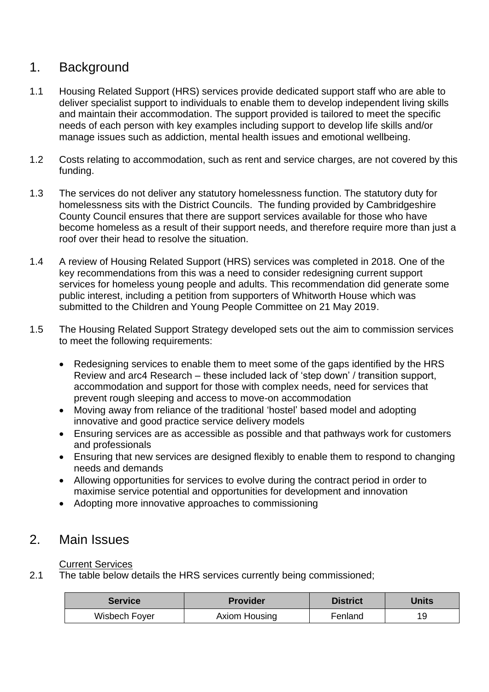# 1. Background

- 1.1 Housing Related Support (HRS) services provide dedicated support staff who are able to deliver specialist support to individuals to enable them to develop independent living skills and maintain their accommodation. The support provided is tailored to meet the specific needs of each person with key examples including support to develop life skills and/or manage issues such as addiction, mental health issues and emotional wellbeing.
- 1.2 Costs relating to accommodation, such as rent and service charges, are not covered by this funding.
- 1.3 The services do not deliver any statutory homelessness function. The statutory duty for homelessness sits with the District Councils. The funding provided by Cambridgeshire County Council ensures that there are support services available for those who have become homeless as a result of their support needs, and therefore require more than just a roof over their head to resolve the situation.
- 1.4 A review of Housing Related Support (HRS) services was completed in 2018. One of the key recommendations from this was a need to consider redesigning current support services for homeless young people and adults. This recommendation did generate some public interest, including a petition from supporters of Whitworth House which was submitted to the Children and Young People Committee on 21 May 2019.
- 1.5 The Housing Related Support Strategy developed sets out the aim to commission services to meet the following requirements:
	- Redesigning services to enable them to meet some of the gaps identified by the HRS Review and arc4 Research – these included lack of 'step down' / transition support, accommodation and support for those with complex needs, need for services that prevent rough sleeping and access to move-on accommodation
	- Moving away from reliance of the traditional 'hostel' based model and adopting innovative and good practice service delivery models
	- Ensuring services are as accessible as possible and that pathways work for customers and professionals
	- Ensuring that new services are designed flexibly to enable them to respond to changing needs and demands
	- Allowing opportunities for services to evolve during the contract period in order to maximise service potential and opportunities for development and innovation
	- Adopting more innovative approaches to commissioning

## 2. Main Issues

#### Current Services

2.1 The table below details the HRS services currently being commissioned;

| <b>Service</b> | <b>Provider</b> | <b>District</b> | Units |
|----------------|-----------------|-----------------|-------|
| Wisbech Foyer  | Axiom Housing   | Fenland         | 19    |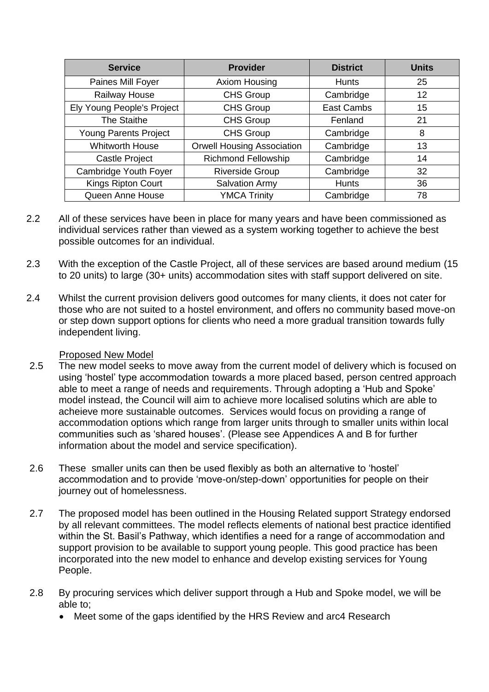| <b>Service</b>               | <b>Provider</b>                   | <b>District</b> | <b>Units</b> |
|------------------------------|-----------------------------------|-----------------|--------------|
| Paines Mill Foyer            | Axiom Housing                     | <b>Hunts</b>    | 25           |
| Railway House                | <b>CHS Group</b>                  | Cambridge       | 12           |
| Ely Young People's Project   | <b>CHS Group</b>                  | East Cambs      | 15           |
| The Staithe                  | <b>CHS Group</b>                  | Fenland         | 21           |
| <b>Young Parents Project</b> | <b>CHS Group</b>                  | Cambridge       | 8            |
| <b>Whitworth House</b>       | <b>Orwell Housing Association</b> | Cambridge       | 13           |
| <b>Castle Project</b>        | <b>Richmond Fellowship</b>        | Cambridge       | 14           |
| Cambridge Youth Foyer        | <b>Riverside Group</b>            | Cambridge       | 32           |
| <b>Kings Ripton Court</b>    | <b>Salvation Army</b>             | <b>Hunts</b>    | 36           |
| Queen Anne House             | <b>YMCA Trinity</b>               | Cambridge       | 78           |

- 2.2 All of these services have been in place for many years and have been commissioned as individual services rather than viewed as a system working together to achieve the best possible outcomes for an individual.
- 2.3 With the exception of the Castle Project, all of these services are based around medium (15 to 20 units) to large (30+ units) accommodation sites with staff support delivered on site.
- 2.4 Whilst the current provision delivers good outcomes for many clients, it does not cater for those who are not suited to a hostel environment, and offers no community based move-on or step down support options for clients who need a more gradual transition towards fully independent living.

#### Proposed New Model

- 2.5 The new model seeks to move away from the current model of delivery which is focused on using 'hostel' type accommodation towards a more placed based, person centred approach able to meet a range of needs and requirements. Through adopting a 'Hub and Spoke' model instead, the Council will aim to achieve more localised solutins which are able to acheieve more sustainable outcomes. Services would focus on providing a range of accommodation options which range from larger units through to smaller units within local communities such as 'shared houses'. (Please see Appendices A and B for further information about the model and service specification).
- 2.6 These smaller units can then be used flexibly as both an alternative to 'hostel' accommodation and to provide 'move-on/step-down' opportunities for people on their journey out of homelessness.
- 2.7 The proposed model has been outlined in the Housing Related support Strategy endorsed by all relevant committees. The model reflects elements of national best practice identified within the St. Basil's Pathway, which identifies a need for a range of accommodation and support provision to be available to support young people. This good practice has been incorporated into the new model to enhance and develop existing services for Young People.
- 2.8 By procuring services which deliver support through a Hub and Spoke model, we will be able to;
	- Meet some of the gaps identified by the HRS Review and arc4 Research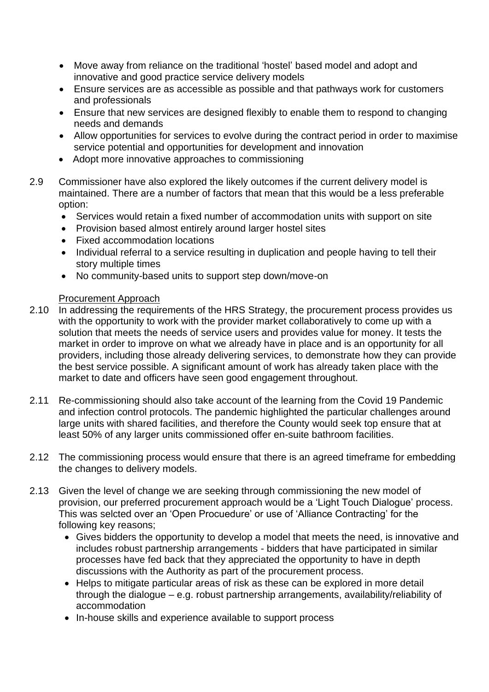- Move away from reliance on the traditional 'hostel' based model and adopt and innovative and good practice service delivery models
- Ensure services are as accessible as possible and that pathways work for customers and professionals
- Ensure that new services are designed flexibly to enable them to respond to changing needs and demands
- Allow opportunities for services to evolve during the contract period in order to maximise service potential and opportunities for development and innovation
- Adopt more innovative approaches to commissioning
- 2.9 Commissioner have also explored the likely outcomes if the current delivery model is maintained. There are a number of factors that mean that this would be a less preferable option:
	- Services would retain a fixed number of accommodation units with support on site
	- Provision based almost entirely around larger hostel sites
	- Fixed accommodation locations
	- Individual referral to a service resulting in duplication and people having to tell their story multiple times
	- No community-based units to support step down/move-on

#### Procurement Approach

- 2.10 In addressing the requirements of the HRS Strategy, the procurement process provides us with the opportunity to work with the provider market collaboratively to come up with a solution that meets the needs of service users and provides value for money. It tests the market in order to improve on what we already have in place and is an opportunity for all providers, including those already delivering services, to demonstrate how they can provide the best service possible. A significant amount of work has already taken place with the market to date and officers have seen good engagement throughout.
- 2.11 Re-commissioning should also take account of the learning from the Covid 19 Pandemic and infection control protocols. The pandemic highlighted the particular challenges around large units with shared facilities, and therefore the County would seek top ensure that at least 50% of any larger units commissioned offer en-suite bathroom facilities.
- 2.12 The commissioning process would ensure that there is an agreed timeframe for embedding the changes to delivery models.
- 2.13 Given the level of change we are seeking through commissioning the new model of provision, our preferred procurement approach would be a 'Light Touch Dialogue' process. This was selcted over an 'Open Procuedure' or use of 'Alliance Contracting' for the following key reasons;
	- Gives bidders the opportunity to develop a model that meets the need, is innovative and includes robust partnership arrangements - bidders that have participated in similar processes have fed back that they appreciated the opportunity to have in depth discussions with the Authority as part of the procurement process.
	- Helps to mitigate particular areas of risk as these can be explored in more detail through the dialogue – e.g. robust partnership arrangements, availability/reliability of accommodation
	- In-house skills and experience available to support process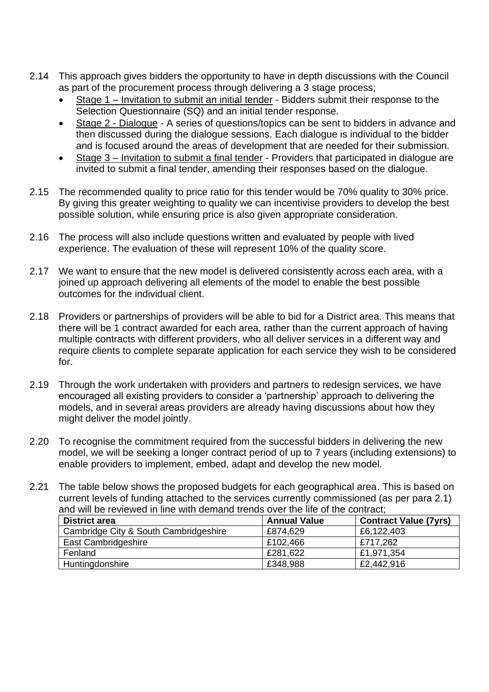- 2.14 This approach gives bidders the opportunity to have in depth discussions with the Council as part of the procurement process through delivering a 3 stage process;
	- Stage 1 Invitation to submit an initial tender Bidders submit their response to the Selection Questionnaire (SQ) and an initial tender response.
	- Stage 2 Dialogue A series of questions/topics can be sent to bidders in advance and then discussed during the dialogue sessions. Each dialogue is individual to the bidder and is focused around the areas of development that are needed for their submission.
	- Stage 3 Invitation to submit a final tender Providers that participated in dialogue are invited to submit a final tender, amending their responses based on the dialogue.
- 2.15 The recommended quality to price ratio for this tender would be 70% quality to 30% price. By giving this greater weighting to quality we can incentivise providers to develop the best possible solution, while ensuring price is also given appropriate consideration.
- 2.16 The process will also include questions written and evaluated by people with lived experience. The evaluation of these will represent 10% of the quality score.
- 2.17 We want to ensure that the new model is delivered consistently across each area, with a joined up approach delivering all elements of the model to enable the best possible outcomes for the individual client.
- 2.18 Providers or partnerships of providers will be able to bid for a District area. This means that there will be 1 contract awarded for each area, rather than the current approach of having multiple contracts with different providers, who all deliver services in a different way and require clients to complete separate application for each service they wish to be considered for.
- 2.19 Through the work undertaken with providers and partners to redesign services, we have encouraged all existing providers to consider a 'partnership' approach to delivering the models, and in several areas providers are already having discussions about how they might deliver the model jointly.
- 2.20 To recognise the commitment required from the successful bidders in delivering the new model, we will be seeking a longer contract period of up to 7 years (including extensions) to enable providers to implement, embed, adapt and develop the new model.
- 2.21 The table below shows the proposed budgets for each geographical area. This is based on current levels of funding attached to the services currently commissioned (as per para 2.1) and will be reviewed in line with demand trends over the life of the contract;

| <b>District area</b>                  | <b>Annual Value</b> | <b>Contract Value (7yrs)</b> |
|---------------------------------------|---------------------|------------------------------|
| Cambridge City & South Cambridgeshire | £874,629            | £6,122,403                   |
| East Cambridgeshire                   | £102,466            | £717,262                     |
| Fenland                               | £281,622            | £1,971,354                   |
| Huntingdonshire                       | £348,988            | £2,442,916                   |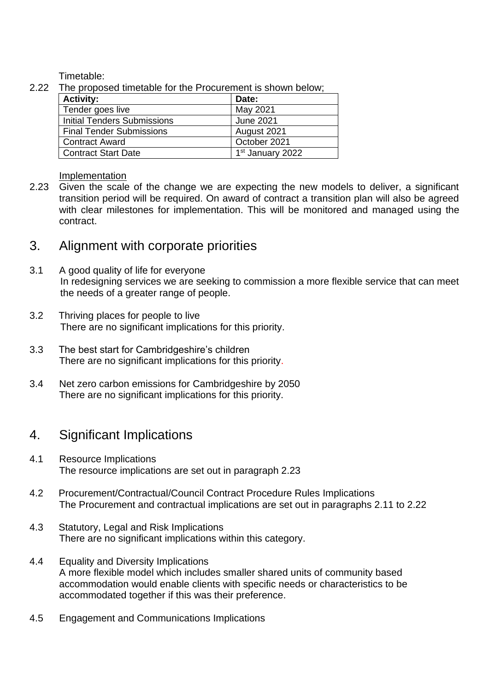Timetable:

2.22 The proposed timetable for the Procurement is shown below.

| <b>Activity:</b>                   | Date:                        |  |
|------------------------------------|------------------------------|--|
| Tender goes live                   | May 2021                     |  |
| <b>Initial Tenders Submissions</b> | <b>June 2021</b>             |  |
| <b>Final Tender Submissions</b>    | August 2021                  |  |
| <b>Contract Award</b>              | October 2021                 |  |
| Contract Start Date                | 1 <sup>st</sup> January 2022 |  |

Implementation

2.23 Given the scale of the change we are expecting the new models to deliver, a significant transition period will be required. On award of contract a transition plan will also be agreed with clear milestones for implementation. This will be monitored and managed using the contract.

### 3. Alignment with corporate priorities

- 3.1 A good quality of life for everyone In redesigning services we are seeking to commission a more flexible service that can meet the needs of a greater range of people.
- 3.2 Thriving places for people to live There are no significant implications for this priority.
- 3.3 The best start for Cambridgeshire's children There are no significant implications for this priority.
- 3.4 Net zero carbon emissions for Cambridgeshire by 2050 There are no significant implications for this priority.

# 4. Significant Implications

- 4.1 Resource Implications The resource implications are set out in paragraph 2.23
- 4.2 Procurement/Contractual/Council Contract Procedure Rules Implications The Procurement and contractual implications are set out in paragraphs 2.11 to 2.22
- 4.3 Statutory, Legal and Risk Implications There are no significant implications within this category.
- 4.4 Equality and Diversity Implications A more flexible model which includes smaller shared units of community based accommodation would enable clients with specific needs or characteristics to be accommodated together if this was their preference.
- 4.5 Engagement and Communications Implications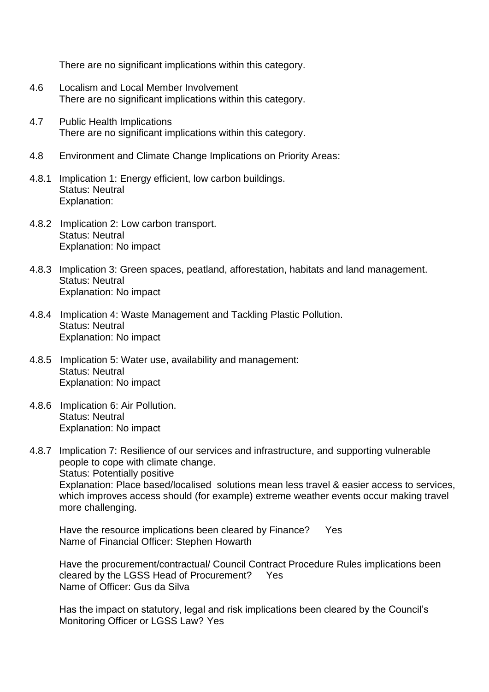There are no significant implications within this category.

- 4.6 Localism and Local Member Involvement There are no significant implications within this category.
- 4.7 Public Health Implications There are no significant implications within this category.
- 4.8 Environment and Climate Change Implications on Priority Areas:
- 4.8.1 Implication 1: Energy efficient, low carbon buildings. Status: Neutral Explanation:
- 4.8.2 Implication 2: Low carbon transport. Status: Neutral Explanation: No impact
- 4.8.3 Implication 3: Green spaces, peatland, afforestation, habitats and land management. Status: Neutral Explanation: No impact
- 4.8.4 Implication 4: Waste Management and Tackling Plastic Pollution. Status: Neutral Explanation: No impact
- 4.8.5 Implication 5: Water use, availability and management: Status: Neutral Explanation: No impact
- 4.8.6 Implication 6: Air Pollution. Status: Neutral Explanation: No impact

4.8.7 Implication 7: Resilience of our services and infrastructure, and supporting vulnerable people to cope with climate change. Status: Potentially positive Explanation: Place based/localised solutions mean less travel & easier access to services, which improves access should (for example) extreme weather events occur making travel more challenging.

Have the resource implications been cleared by Finance? Yes Name of Financial Officer: Stephen Howarth

Have the procurement/contractual/ Council Contract Procedure Rules implications been cleared by the LGSS Head of Procurement? Yes Name of Officer: Gus da Silva

Has the impact on statutory, legal and risk implications been cleared by the Council's Monitoring Officer or LGSS Law? Yes